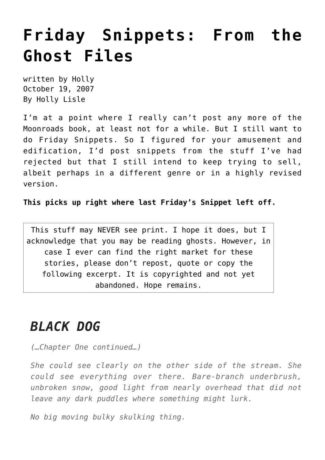## **[Friday Snippets: From the](https://hollylisle.com/friday-snippets-from-the-ghost-files-2/) [Ghost Files](https://hollylisle.com/friday-snippets-from-the-ghost-files-2/)**

written by Holly October 19, 2007 [By Holly Lisle](https://hollylisle.com)

I'm at a point where I really can't post any more of the Moonroads book, at least not for a while. But I still want to do Friday Snippets. So I figured for your amusement and edification, I'd post snippets from the stuff I've had rejected but that I still intend to keep trying to sell, albeit perhaps in a different genre or in a highly revised version.

**[This picks up right where last Friday's Snippet left off.](https://hollylisle.com/writingdiary2/index.php/2007/10/12/friday-snippets-from-the-ghost-files/)**

This stuff may NEVER see print. I hope it does, but I acknowledge that you may be reading ghosts. However, in case I ever can find the right market for these stories, please don't repost, quote or copy the following excerpt. It is copyrighted and not yet abandoned. Hope remains.

## *BLACK DOG*

*(…Chapter One continued…)*

*She could see clearly on the other side of the stream. She could see everything over there. Bare-branch underbrush, unbroken snow, good light from nearly overhead that did not leave any dark puddles where something might lurk.*

*No big moving bulky skulking thing.*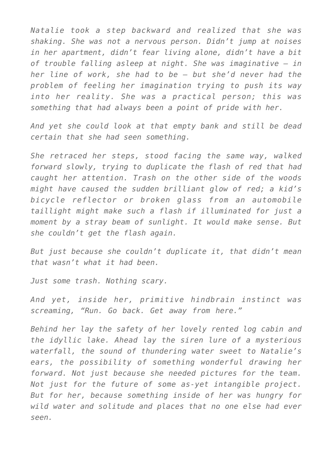*Natalie took a step backward and realized that she was shaking. She was not a nervous person. Didn't jump at noises in her apartment, didn't fear living alone, didn't have a bit of trouble falling asleep at night. She was imaginative — in her line of work, she had to be — but she'd never had the problem of feeling her imagination trying to push its way into her reality. She was a practical person; this was something that had always been a point of pride with her.*

*And yet she could look at that empty bank and still be dead certain that she had seen something.*

*She retraced her steps, stood facing the same way, walked forward slowly, trying to duplicate the flash of red that had caught her attention. Trash on the other side of the woods might have caused the sudden brilliant glow of red; a kid's bicycle reflector or broken glass from an automobile taillight might make such a flash if illuminated for just a moment by a stray beam of sunlight. It would make sense. But she couldn't get the flash again.*

*But just because she couldn't duplicate it, that didn't mean that wasn't what it had been.*

*Just some trash. Nothing scary.*

*And yet, inside her, primitive hindbrain instinct was screaming, "Run. Go back. Get away from here."*

*Behind her lay the safety of her lovely rented log cabin and the idyllic lake. Ahead lay the siren lure of a mysterious waterfall, the sound of thundering water sweet to Natalie's ears, the possibility of something wonderful drawing her forward. Not just because she needed pictures for the team. Not just for the future of some as-yet intangible project. But for her, because something inside of her was hungry for wild water and solitude and places that no one else had ever seen.*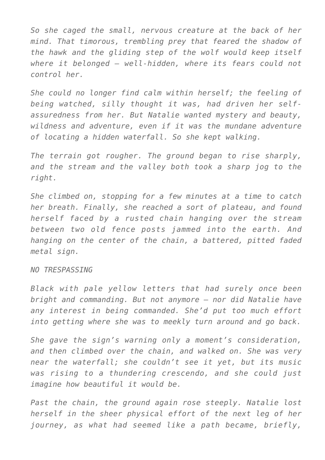*So she caged the small, nervous creature at the back of her mind. That timorous, trembling prey that feared the shadow of the hawk and the gliding step of the wolf would keep itself where it belonged — well-hidden, where its fears could not control her.*

*She could no longer find calm within herself; the feeling of being watched, silly thought it was, had driven her selfassuredness from her. But Natalie wanted mystery and beauty, wildness and adventure, even if it was the mundane adventure of locating a hidden waterfall. So she kept walking.*

*The terrain got rougher. The ground began to rise sharply, and the stream and the valley both took a sharp jog to the right.*

*She climbed on, stopping for a few minutes at a time to catch her breath. Finally, she reached a sort of plateau, and found herself faced by a rusted chain hanging over the stream between two old fence posts jammed into the earth. And hanging on the center of the chain, a battered, pitted faded metal sign.*

*NO TRESPASSING*

*Black with pale yellow letters that had surely once been bright and commanding. But not anymore — nor did Natalie have any interest in being commanded. She'd put too much effort into getting where she was to meekly turn around and go back.*

*She gave the sign's warning only a moment's consideration, and then climbed over the chain, and walked on. She was very near the waterfall; she couldn't see it yet, but its music was rising to a thundering crescendo, and she could just imagine how beautiful it would be.*

*Past the chain, the ground again rose steeply. Natalie lost herself in the sheer physical effort of the next leg of her journey, as what had seemed like a path became, briefly,*